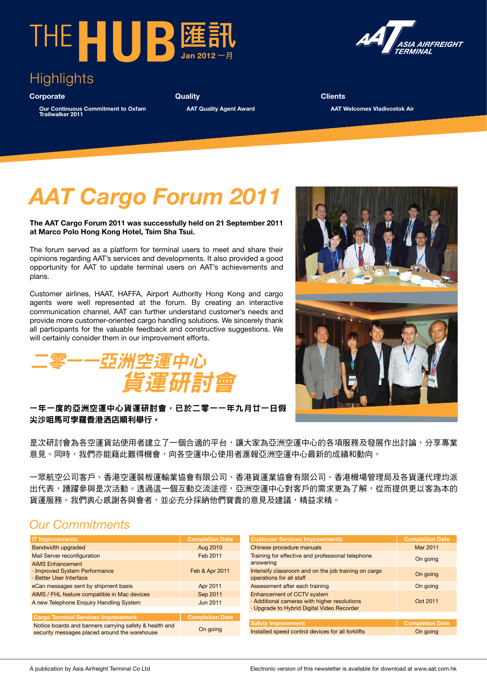



**Corporate**

**Our Continuous Commitment to Oxfam Trailwalker 2011**

**Quality**

 **AAT Quality Agent Award**

*IREREIGHT* 

**Clients AAT Welcomes Vladivostok Air**

## *AAT Cargo Forum 2011*

**The AAT Cargo Forum 2011 was successfully held on 21 September 2011 at Marco Polo Hong Kong Hotel, Tsim Sha Tsui.**

The forum served as a platform for terminal users to meet and share their opinions regarding AAT's services and developments. It also provided a good opportunity for AAT to update terminal users on AAT's achievements and plans.

Customer airlines, HAAT, HAFFA, Airport Authority Hong Kong and cargo agents were well represented at the forum. By creating an interactive communication channel, AAT can further understand customer's needs and provide more customer-oriented cargo handling solutions. We sincerely thank all participants for the valuable feedback and constructive suggestions. We will certainly consider them in our improvement efforts.





### 一年一度的亞洲空運中心貨運研討會,已於二零一一年九月廿一日假 尖沙咀馬可孛羅香港洒店順利舉行。

是次研討會為各空運貨站使用者建立了一個合適的平台,讓大家為亞洲空運中心的各項服務及發展作出討論,分享專業 意見。同時,我們亦能藉此難得機會,向各空運中心使用者滙報亞洲空運中心最新的成績和動向。

一眾航空公司客戶、香港空運裝板運輸業協會有限公司、香港貨運業協會有限公司、香港機場管理局及各貨運代理均派 出代表,踴躍參與是次活動。透過這一個互動交流途徑,亞洲空運中心對客戶的需求更為了解,從而提供更以客為本的 貨運服務。我們衷心感謝各與會者,並必充分採納他們寶貴的意見及建議,精益求精。

### *Our Commitments*

| <b>IT Improvements</b>                                                                                  | <b>Completion Date</b> |
|---------------------------------------------------------------------------------------------------------|------------------------|
| <b>Bandwidth upgraded</b>                                                                               | Aug 2010               |
| <b>Mail Server reconfiguration</b>                                                                      | Feb 2011               |
| <b>AIMS Enhancement</b><br>· Improved System Performance<br>· Better User Interface                     | Feb & Apr 2011         |
| eCan messages sent by shipment basis                                                                    | Apr 2011               |
| AIMS / FHL feature compatible in Mac devices                                                            | Sep 2011               |
| A new Telephone Enquiry Handling System                                                                 | <b>Jun 2011</b>        |
|                                                                                                         |                        |
| <b>Cargo Terminal Services Improvement</b>                                                              | <b>Completion Date</b> |
| Notice boards and banners carrying safety & health and<br>security messages placed around the warehouse | On going               |

| <b>Customer Services Improvements</b>                                                                                           | <b>Completion Date</b> |
|---------------------------------------------------------------------------------------------------------------------------------|------------------------|
| Chinese procedure manuals                                                                                                       | Mar 2011               |
| Training for effective and professional telephone<br>answering                                                                  | On going               |
| Intensify classroom and on the job training on cargo<br>operations for all staff                                                | On going               |
| Assessment after each training                                                                                                  | On going               |
| <b>Enhancement of CCTV system</b><br>· Additional cameras with higher resolutions<br>· Upgrade to Hybrid Digital Video Recorder | Oct 2011               |
|                                                                                                                                 |                        |
| <b>Safety Improvement</b>                                                                                                       | <b>Completion Date</b> |
| Installed speed control devices for all forklifts                                                                               | On going               |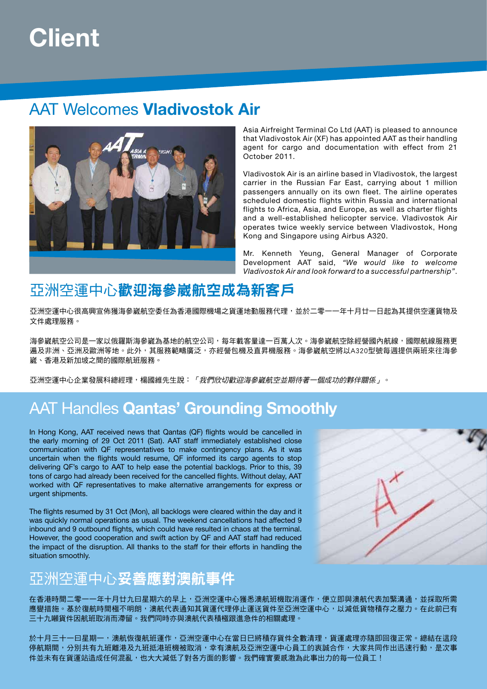## **Client**

### AAT Welcomes **Vladivostok Air**



Asia Airfreight Terminal Co Ltd (AAT) is pleased to announce that Vladivostok Air (XF) has appointed AAT as their handling agent for cargo and documentation with effect from 21 October 2011.

Vladivostok Air is an airline based in Vladivostok, the largest carrier in the Russian Far East, carrying about 1 million passengers annually on its own fleet. The airline operates scheduled domestic flights within Russia and international flights to Africa, Asia, and Europe, as well as charter flights and a well-established helicopter service. Vladivostok Air operates twice weekly service between Vladivostok, Hong Kong and Singapore using Airbus A320.

Mr. Kenneth Yeung, General Manager of Corporate Development AAT said, *"We would like to welcome Vladivostok Air and look forward to a successful partnership"*.

### 亞洲空運中心歡迎海參崴航空成為新客戶

亞洲空運中心很高興宣佈獲海參崴航空委任為香港國際機場之貨運地勤服務代理,並於二零一一年十月廿一日起為其提供空運貨物及 文件處理服務。

海參崴航空公司是一家以俄羅斯海參崴為基地的航空公司,每年載客量達一百萬人次。海參崴航空除經營國內航線,國際航線服務更 遍及非洲、亞洲及歐洲等地。此外,其服務範疇廣泛,亦經營包機及直昇機服務。海參崴航空將以A320型號每週提供兩班來往海參 崴、香港及新加坡之間的國際航班服務。

亞洲空運中心企業發展科總經理,楊國維先生說:「我們欣切歡迎海參崴航空並期待著一個成功的夥伴關係」。

### AAT Handles **Qantas' Grounding Smoothly**

In Hong Kong, AAT received news that Qantas (QF) flights would be cancelled in the early morning of 29 Oct 2011 (Sat). AAT staff immediately established close communication with QF representatives to make contingency plans. As it was uncertain when the flights would resume, QF informed its cargo agents to stop delivering QF's cargo to AAT to help ease the potential backlogs. Prior to this, 39 tons of cargo had already been received for the cancelled flights. Without delay, AAT worked with QF representatives to make alternative arrangements for express or urgent shipments.

The flights resumed by 31 Oct (Mon), all backlogs were cleared within the day and it was quickly normal operations as usual. The weekend cancellations had affected 9 inbound and 9 outbound flights, which could have resulted in chaos at the terminal. However, the good cooperation and swift action by QF and AAT staff had reduced the impact of the disruption. All thanks to the staff for their efforts in handling the situation smoothly.

### 亞洲空運中心妥善應對澳航事件

在香港時間二零一一年十月廿九曰星期六的早上,亞洲空運中心獲悉澳航班機取消運作,便立即與澳航代表加緊溝通,並採取所需 應變措施。基於復航時間極不明朗,澳航代表通知其貨運代理停止運送貨件至亞洲空運中心,以減低貨物積存之壓力。在此前已有 三十九噸貨件因航班取消而滯留。我們同時亦與澳航代表積極跟進急件的相關處理。

於十月三十一曰星期一,澳航恢復航班運作,亞洲空運中心在當日巳將積存貨件全數清理,貨運處理亦隨即回復正常。總結在這段 停航期間,分別共有九班離港及九班抵港班機被取消,幸有澳航及亞洲空運中心員工的衷誠合作,大家共同作出迅速行動,是次事 件並未有在貨運站造成任何混亂,也大大減低了對各方面的影響。我們確實要感激為此事出力的每一位員工!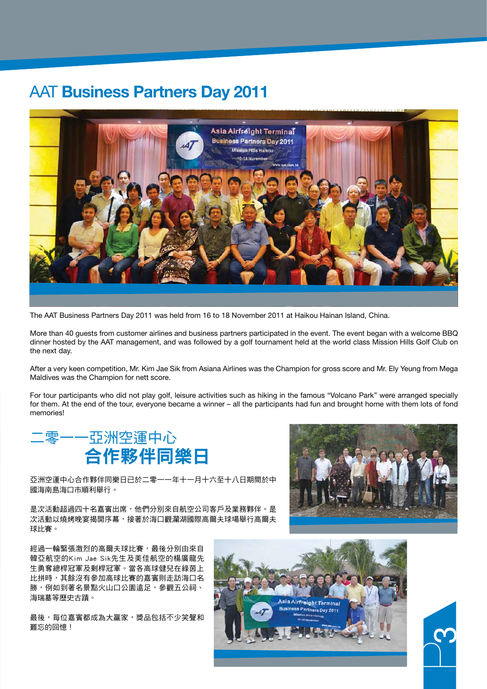### AAT **Business Partners Day 2011**



The AAT Business Partners Day 2011 was held from 16 to 18 November 2011 at Haikou Hainan Island, China.

More than 40 guests from customer airlines and business partners participated in the event. The event began with a welcome BBQ dinner hosted by the AAT management, and was followed by a golf tournament held at the world class Mission Hills Golf Club on the next day.

After a very keen competition, Mr. Kim Jae Sik from Asiana Airlines was the Champion for gross score and Mr. Ely Yeung from Mega Maldives was the Champion for nett score.

For tour participants who did not play golf, leisure activities such as hiking in the famous "Volcano Park" were arranged specially for them. At the end of the tour, everyone became a winner – all the participants had fun and brought home with them lots of fond memories!



亞洲空運中心合作夥伴同樂日已於二零一一年十一月十六至十八日期間於中 國海南島海口市順利舉行。

是次活動超過四十名嘉賓出席,他們分別來自航空公司客戶及業務夥伴。是 次活動以燒烤晚宴揭開序幕,接著於海口觀瀾湖國際高爾夫球場舉行高爾夫 球比賽。



最後,每位嘉賓都成為大贏家,獎品包括不少笑聲和 難忘的回憶!



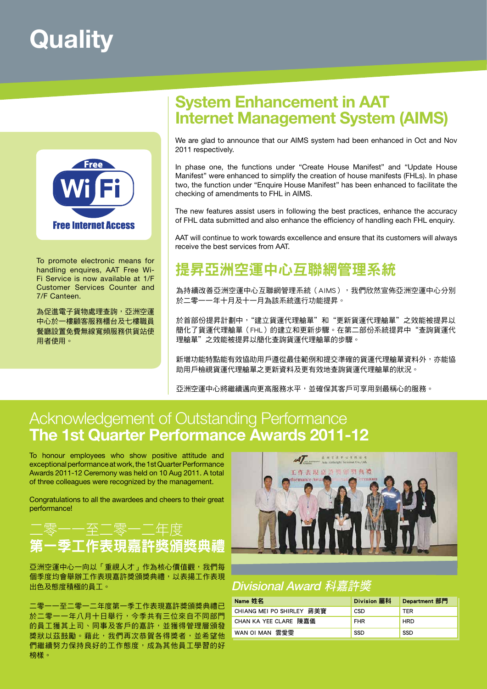## **Quality**



To promote electronic means for handling enquires, AAT Free Wi-Fi Service is now available at 1/F Customer Services Counter and 7/F Canteen.

為促進電子貨物處理查詢,亞洲空運 中心於一樓顧客服務櫃台及七樓職員 餐廳設置免費無線寬頻服務供貨站使 用者使用。

### **System Enhancement in AAT Internet Management System (AIMS)**

We are glad to announce that our AIMS system had been enhanced in Oct and Nov 2011 respectively.

In phase one, the functions under "Create House Manifest" and "Update House Manifest" were enhanced to simplify the creation of house manifests (FHLs). In phase two, the function under "Enquire House Manifest" has been enhanced to facilitate the checking of amendments to FHL in AIMS.

The new features assist users in following the best practices, enhance the accuracy of FHL data submitted and also enhance the efficiency of handling each FHL enquiry.

AAT will continue to work towards excellence and ensure that its customers will always receive the best services from AAT.

### 提昇亞洲空運中心互聯網管理系統

為持續改善亞洲空運中心互聯網管理系統(AIMS),我們欣然宣佈亞洲空運中心分別 於二零一一年十月及十一月為該系統進行功能提昇。

於首部份提昇計劃中, "建立貨運代理艙單"和"更新貨運代理艙單"之效能被提昇以 簡化了貨運代理艙單(FHL)的建立和更新步驟。在第二部份系統提昇中"查詢貨運代 理艙單"之效能被提昇以簡化查詢貨運代理艙單的步驟。

新增功能特點能有效協助用戶遵從最佳範例和提交準確的貨運代理艙單資料外,亦能協 助用戶檢視貨運代理艙單之更新資料及更有效地查詢貨運代理艙單的狀況。

亞洲空運中心將繼續邁向更高服務水平,並確保其客戶可享用到最稱心的服務。

### Acknowledgement of Outstanding Performance **The 1st Quarter Performance Awards 2011-12**

To honour employees who show positive attitude and exceptional performance at work, the 1st Quarter Performance Awards 2011-12 Ceremony was held on 10 Aug 2011. A total of three colleagues were recognized by the management.

Congratulations to all the awardees and cheers to their great performance!

### 二零一一至二零一二年度 第一季工作表現嘉許獎頒獎典禮

亞洲空運中心一向以「重視人才」作為核心價值觀,我們每 個季度均會舉辦工作表現嘉許獎頒獎典禮,以表揚工作表現 出色及態度積極的員工。

二零一一至二零一二年度第一季工作表現嘉許獎頒獎典禮已 於二零一一年八月十日舉行,今季共有三位來自不同部門 的員工獲其上司、同事及客戶的嘉許,並獲得管理層頒發 獎狀以茲鼓勵。藉此,我們再次恭賀各得獎者,並希望他 們繼續努力保持良好的工作態度,成為其他員工學習的好 榜樣。



### Divisional Award 科嘉許獎

| Name 姓名                   | Division 屬科 | Department 部門 |
|---------------------------|-------------|---------------|
| CHIANG MEI PO SHIRLEY 蔣美寶 | CSD         | <b>TER</b>    |
| CHAN KA YEE CLARE 陳嘉儀     | <b>FHR</b>  | <b>HRD</b>    |
| WAN OI MAN 雲愛雯            | <b>SSD</b>  | <b>SSD</b>    |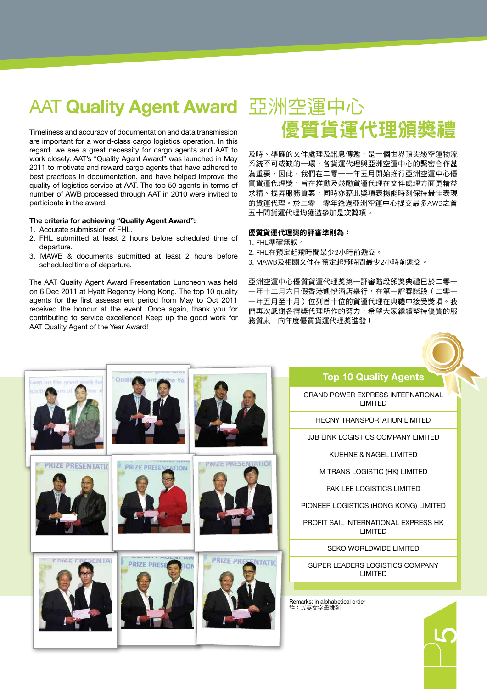### AAT **Quality Agent Award** 亞洲空運中心

Timeliness and accuracy of documentation and data transmission are important for a world-class cargo logistics operation. In this regard, we see a great necessity for cargo agents and AAT to work closely. AAT's "Quality Agent Award" was launched in May 2011 to motivate and reward cargo agents that have adhered to best practices in documentation, and have helped improve the quality of logistics service at AAT. The top 50 agents in terms of number of AWB processed through AAT in 2010 were invited to participate in the award.

### **The criteria for achieving "Quality Agent Award":**

- 1. Accurate submission of FHL.
- 2. FHL submitted at least 2 hours before scheduled time of departure.
- 3. MAWB & documents submitted at least 2 hours before scheduled time of departure.

The AAT Quality Agent Award Presentation Luncheon was held on 6 Dec 2011 at Hyatt Regency Hong Kong. The top 10 quality agents for the first assessment period from May to Oct 2011 received the honour at the event. Once again, thank you for contributing to service excellence! Keep up the good work for AAT Quality Agent of the Year Award!

# 優質貨運代理頒獎禮

及時、準確的文件處理及訊息傳遞,是一個世界頂尖級空運物流 系統不可或缺的一環,各貨運代理與亞洲空運中心的緊密合作甚 為重要,因此,我們在二零一一年五月開始推行亞洲空運中心優 質貨運代理獎,旨在推動及鼓勵貨運代理在文件處理方面更精益 求精、提昇服務質素,同時亦藉此獎項表揚能時刻保持最佳表現 的貨運代理。於二零一零年透過亞洲空運中心提交最多AWB之首 五十間貨運代理均獲邀參加是次獎項。

### 優質貨運代理獎的評審準則為:

- 1. FHL準確無誤。
- 2. FHL在預定起飛時間最少2小時前遞交。
- 3. MAWB及相關文件在預定起飛時間最少2小時前遞交。

亞洲空運中心優質貨運代理獎第一評審階段頒獎典禮巳於二零一 一年十二月六日假香港凱悅酒店舉行,在第一評審階段(二零一 一年五月至十月)位列首十位的貨運代理在典禮中接受獎項。我 們再次感謝各得獎代理所作的努力,希望大家繼續堅持優質的服 務質素,向年度優質貨運代理獎進發!

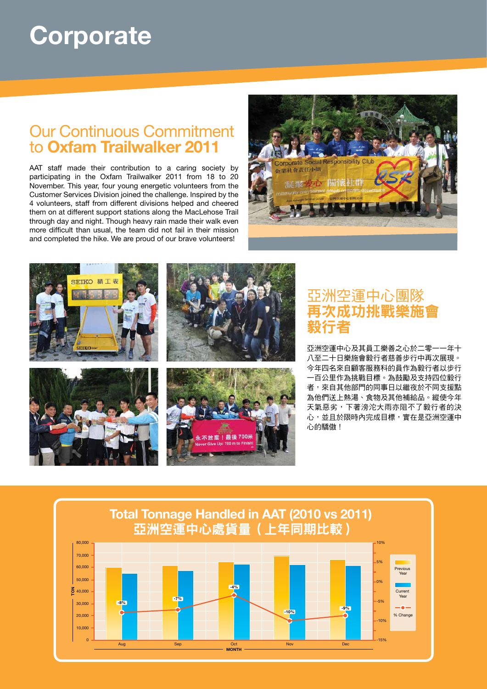## **Corporate**

### Our Continuous Commitment to **Oxfam Trailwalker 2011**

AAT staff made their contribution to a caring society by participating in the Oxfam Trailwalker 2011 from 18 to 20 November. This year, four young energetic volunteers from the Customer Services Division joined the challenge. Inspired by the 4 volunteers, staff from different divisions helped and cheered them on at different support stations along the MacLehose Trail through day and night. Though heavy rain made their walk even more difficult than usual, the team did not fail in their mission and completed the hike. We are proud of our brave volunteers!





### 亞洲空運中心團隊 再次成功挑戰樂施會 毅行者

亞洲空運中心及其員工樂善之心於二零一一年十 八至二十日樂施會毅行者慈善步行中再次展現。 今年四名來自顧客服務科的員作為毅行者以步行 一百公里作為挑戰目標。為鼓勵及支持四位毅行 者,來自其他部門的同事日以繼夜於不同支援點 為他們送上熱湯、食物及其他補給品。縱使今年 天氣惡劣,下著滂沱大雨亦阻不了毅行者的決 心,並且於限時內完成目標,實在是亞洲空運中 心的驕傲!

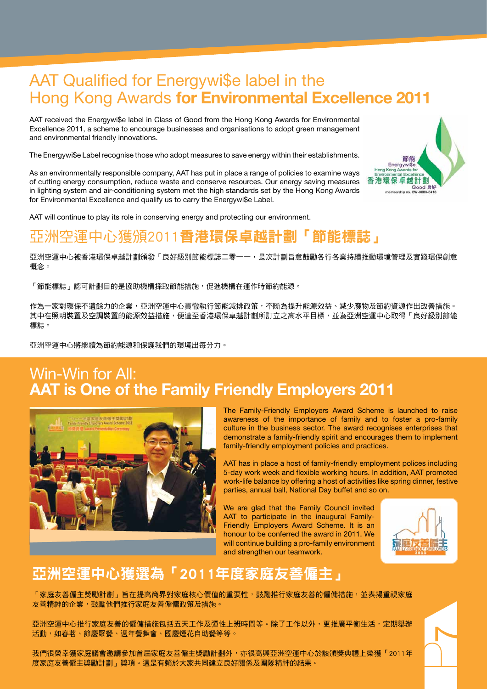### AAT Qualified for Energywi\$e label in the Hong Kong Awards **for Environmental Excellence 2011**

AAT received the Energywi\$e label in Class of Good from the Hong Kong Awards for Environmental Excellence 2011, a scheme to encourage businesses and organisations to adopt green management and environmental friendly innovations.

The Energywi\$e Label recognise those who adopt measures to save energy within their establishments.

As an environmentally responsible company, AAT has put in place a range of policies to examine ways of cutting energy consumption, reduce waste and conserve resources. Our energy saving measures in lighting system and air-conditioning system met the high standards set by the Hong Kong Awards for Environmental Excellence and qualify us to carry the Energywi\$e Label.

AAT will continue to play its role in conserving energy and protecting our environment.

### 亞洲空運中心獲頒2011香港環保卓越計劃「節能標誌」

亞洲空運中心被香港環保卓越計劃頒發「良好級別節能標誌二零一一,是次計劃旨意鼓勵各行各業持續推動環境管理及實踐環保創意 概念。

「節能標誌」認可計劃目的是協助機構採取節能措施,促進機構在運作時節約能源。

作為一家對環保不遺餘力的企業,亞洲空運中心貫徹執行節能減排政策,不斷為提升能源效益、減少廢物及節約資源作出改善措施。 其中在照明裝置及空調裝置的能源效益措施,便達至香港環保卓越計劃所訂立之高水平目標,並為亞洲空運中心取得「良好級別節能 標誌。

亞洲空運中心將繼續為節約能源和保護我們的環境出每分力。

### Win-Win for All: **AAT is One of the Family Friendly Employers 2011**



The Family-Friendly Employers Award Scheme is launched to raise awareness of the importance of family and to foster a pro-family culture in the business sector. The award recognises enterprises that demonstrate a family-friendly spirit and encourages them to implement family-friendly employment policies and practices.

AAT has in place a host of family-friendly employment polices including 5-day work week and flexible working hours. In addition, AAT promoted work-life balance by offering a host of activities like spring dinner, festive parties, annual ball, National Day buffet and so on.

We are glad that the Family Council invited AAT to participate in the inaugural Family-Friendly Employers Award Scheme. It is an honour to be conferred the award in 2011. We will continue building a pro-family environment and strengthen our teamwork.



### 亞洲空運中心獲選為「2011年度家庭友善僱主」

「家庭友善僱主獎勵計劃」旨在提高商界對家庭核心價值的重要性,鼓勵推行家庭友善的僱傭措施,並表揚重視家庭 友善精神的企業,鼓勵他們推行家庭友善僱傭政策及措施。

亞洲空運中心推行家庭友善的僱傭措施包括五天工作及彈性上班時間等。除了工作以外,更推廣平衡生活,定期舉辦 活動,如春茗、節慶聚餐、调年餐舞會、國慶煙花自助餐等等。

我們很榮幸獲家庭議會邀請參加首屆家庭友善僱主獎勵計劃外,亦很高興亞洲空運中心於該頒獎典禮上榮獲「2011年 度家庭友善僱主獎勵計劃」獎項。這是有賴於大家共同建立良好關係及團隊精神的結果。